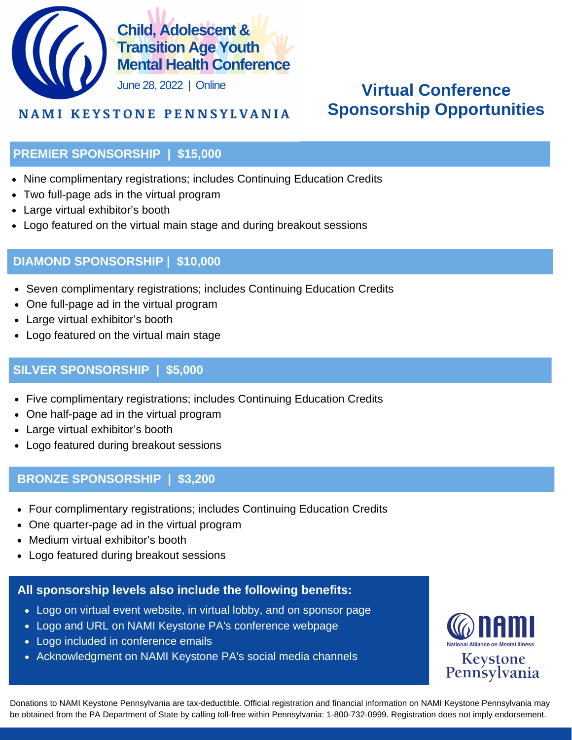

# **Virtual Conference Sponsorship Opportunities**

# **NAMI KEYSTONE PENNSYLVANIA**

## **PREMIER SPONSORSHIP | \$15,000**

- Nine complimentary registrations; includes Continuing Education Credits
- Two full-page ads in the virtual program
- Large virtual exhibitor's booth
- Logo featured on the virtual main stage and during breakout sessions

## **DIAMOND SPONSORSHIP | \$10,000**

- Seven complimentary registrations; includes Continuing Education Credits
- One full-page ad in the virtual program
- Large virtual exhibitor's booth
- Logo featured on the virtual main stage

# **SILVER SPONSORSHIP | \$5,000**

- Five complimentary registrations; includes Continuing Education Credits
- One half-page ad in the virtual program
- Large virtual exhibitor's booth
- Logo featured during breakout sessions

## **BRONZE SPONSORSHIP | \$3,200**

- Four complimentary registrations; includes Continuing Education Credits
- One quarter-page ad in the virtual program
- Medium virtual exhibitor's booth
- Logo featured during breakout sessions

## **All sponsorship levels also include the following benefits:**

- Logo on virtual event website, in virtual lobby, and on sponsor page
- Logo and URL on NAMI Keystone PA's conference webpage
- Logo included in conference emails
- Acknowledgment on NAMI Keystone PA's social media channels



Donations to NAMI Keystone Pennsylvania are tax-deductible. Official registration and financial information on NAMI Keystone Pennsylvania may be obtained from the PA Department of State by calling toll-free within Pennsylvania: 1-800-732-0999. Registration does not imply endorsement.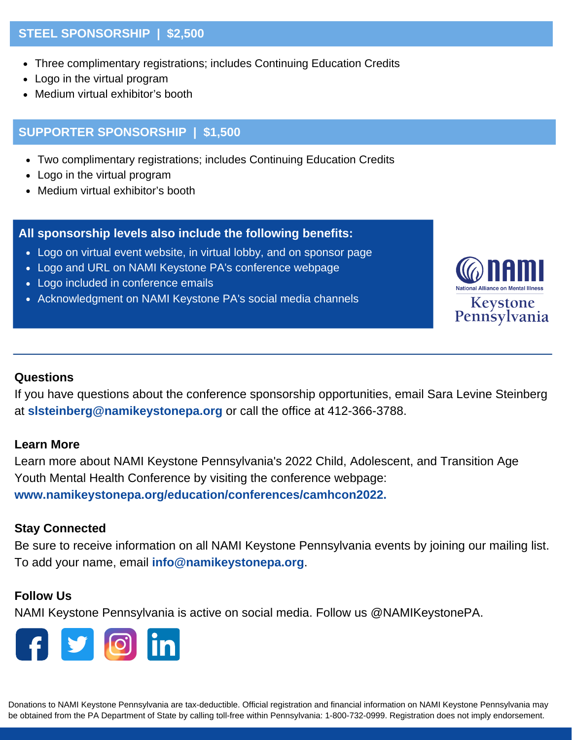## **STEEL SPONSORSHIP | \$2,500**

- Three complimentary registrations; includes Continuing Education Credits
- Logo in the virtual program
- Medium virtual exhibitor's booth

## **SUPPORTER SPONSORSHIP | \$1,500**

- Two complimentary registrations; includes Continuing Education Credits
- Logo in the virtual program
- Medium virtual exhibitor's booth

#### **All sponsorship levels also include the following benefits:**

- Logo on virtual event website, in virtual lobby, and on sponsor page
- Logo and URL on NAMI Keystone PA's conference webpage
- Logo included in conference emails
- Acknowledgment on NAMI Keystone PA's social media channels



## **Questions**

If you have questions about the conference sponsorship opportunities, email Sara Levine Steinberg at **slsteinberg@namikeystonepa.org** or call the office at 412-366-3788.

#### **Learn More**

Learn more about NAMI Keystone Pennsylvania's 2022 Child, Adolescent, and Transition Age Youth Mental Health Conference by visiting the conference webpage: **www.namikeystonepa.org/education/conferences/camhcon2022.**

#### **Stay Connected**

Be sure to receive information on all NAMI Keystone Pennsylvania events by joining our mailing list. To add your name, email **info@namikeystonepa.org**.

## **Follow Us**

NAMI Keystone Pennsylvania is active on social media. Follow us @NAMIKeystonePA.



Donations to NAMI Keystone Pennsylvania are tax-deductible. Official registration and financial information on NAMI Keystone Pennsylvania may be obtained from the PA Department of State by calling toll-free within Pennsylvania: 1-800-732-0999. Registration does not imply endorsement.